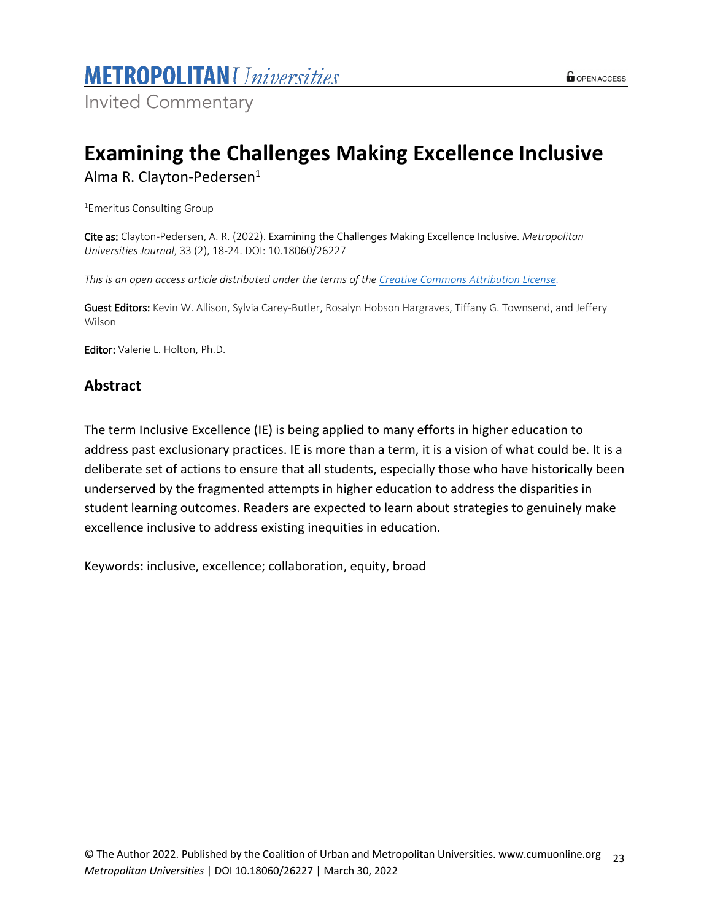Invited Commentary

# **Examining the Challenges Making Excellence Inclusive**

Alma R. Clayton-Pedersen<sup>1</sup>

1 Emeritus Consulting Group

Cite as: Clayton-Pedersen, A. R. (2022). Examining the Challenges Making Excellence Inclusive. *Metropolitan Universities Journal*, 33 (2), 18-24. DOI: 10.18060/26227

*This is an open access article distributed under the terms of the Creative Commons Attribution License.*

Guest Editors: Kevin W. Allison, Sylvia Carey-Butler, Rosalyn Hobson Hargraves, Tiffany G. Townsend, and Jeffery Wilson

Editor: Valerie L. Holton, Ph.D.

### **Abstract**

The term Inclusive Excellence (IE) is being applied to many efforts in higher education to address past exclusionary practices. IE is more than a term, it is a vision of what could be. It is a deliberate set of actions to ensure that all students, especially those who have historically been underserved by the fragmented attempts in higher education to address the disparities in student learning outcomes. Readers are expected to learn about strategies to genuinely make excellence inclusive to address existing inequities in education.

Keywords**:** inclusive, excellence; collaboration, equity, broad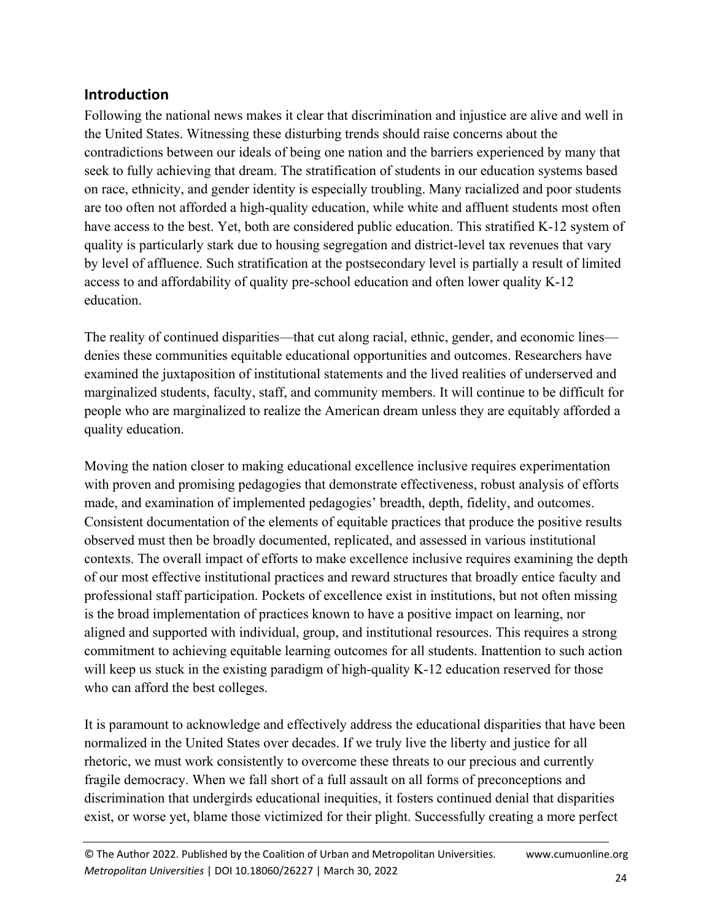# **Introduction**

Following the national news makes it clear that discrimination and injustice are alive and well in the United States. Witnessing these disturbing trends should raise concerns about the contradictions between our ideals of being one nation and the barriers experienced by many that seek to fully achieving that dream. The stratification of students in our education systems based on race, ethnicity, and gender identity is especially troubling. Many racialized and poor students are too often not afforded a high-quality education, while white and affluent students most often have access to the best. Yet, both are considered public education. This stratified K-12 system of quality is particularly stark due to housing segregation and district-level tax revenues that vary by level of affluence. Such stratification at the postsecondary level is partially a result of limited access to and affordability of quality pre-school education and often lower quality K-12 education.

The reality of continued disparities—that cut along racial, ethnic, gender, and economic lines denies these communities equitable educational opportunities and outcomes. Researchers have examined the juxtaposition of institutional statements and the lived realities of underserved and marginalized students, faculty, staff, and community members. It will continue to be difficult for people who are marginalized to realize the American dream unless they are equitably afforded a quality education.

Moving the nation closer to making educational excellence inclusive requires experimentation with proven and promising pedagogies that demonstrate effectiveness, robust analysis of efforts made, and examination of implemented pedagogies' breadth, depth, fidelity, and outcomes. Consistent documentation of the elements of equitable practices that produce the positive results observed must then be broadly documented, replicated, and assessed in various institutional contexts. The overall impact of efforts to make excellence inclusive requires examining the depth of our most effective institutional practices and reward structures that broadly entice faculty and professional staff participation. Pockets of excellence exist in institutions, but not often missing is the broad implementation of practices known to have a positive impact on learning, nor aligned and supported with individual, group, and institutional resources. This requires a strong commitment to achieving equitable learning outcomes for all students. Inattention to such action will keep us stuck in the existing paradigm of high-quality K-12 education reserved for those who can afford the best colleges.

It is paramount to acknowledge and effectively address the educational disparities that have been normalized in the United States over decades. If we truly live the liberty and justice for all rhetoric, we must work consistently to overcome these threats to our precious and currently fragile democracy. When we fall short of a full assault on all forms of preconceptions and discrimination that undergirds educational inequities, it fosters continued denial that disparities exist, or worse yet, blame those victimized for their plight. Successfully creating a more perfect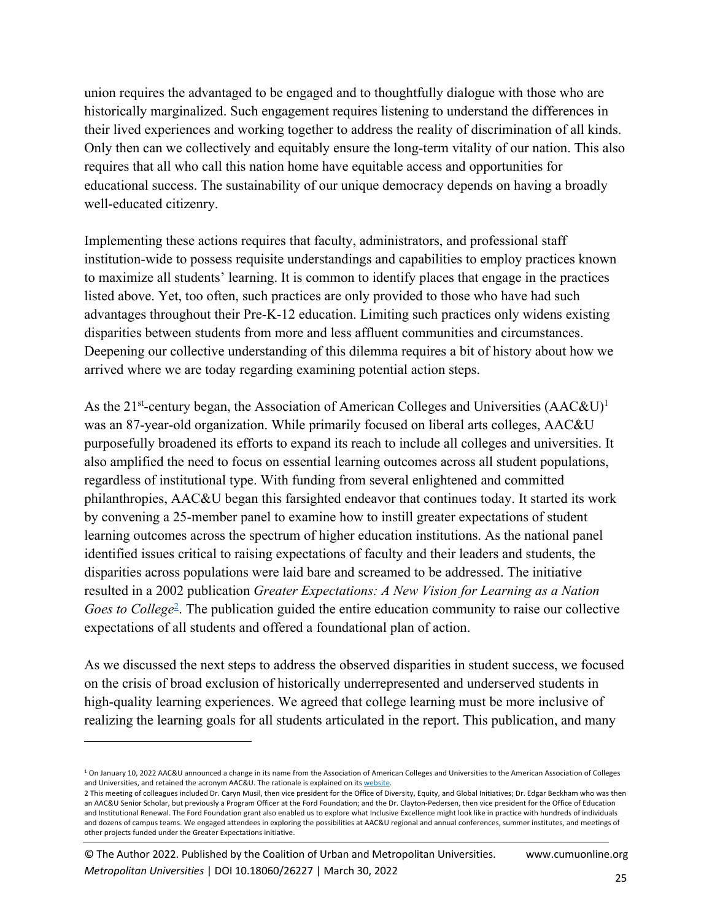union requires the advantaged to be engaged and to thoughtfully dialogue with those who are historically marginalized. Such engagement requires listening to understand the differences in their lived experiences and working together to address the reality of discrimination of all kinds. Only then can we collectively and equitably ensure the long-term vitality of our nation. This also requires that all who call this nation home have equitable access and opportunities for educational success. The sustainability of our unique democracy depends on having a broadly well-educated citizenry.

Implementing these actions requires that faculty, administrators, and professional staff institution-wide to possess requisite understandings and capabilities to employ practices known to maximize all students' learning. It is common to identify places that engage in the practices listed above. Yet, too often, such practices are only provided to those who have had such advantages throughout their Pre-K-12 education. Limiting such practices only widens existing disparities between students from more and less affluent communities and circumstances. Deepening our collective understanding of this dilemma requires a bit of history about how we arrived where we are today regarding examining potential action steps.

As the  $21^{st}$ -century began, the Association of American Colleges and Universities (AAC&U)<sup>1</sup> was an 87-year-old organization. While primarily focused on liberal arts colleges, AAC&U purposefully broadened its efforts to expand its reach to include all colleges and universities. It also amplified the need to focus on essential learning outcomes across all student populations, regardless of institutional type. With funding from several enlightened and committed philanthropies, AAC&U began this farsighted endeavor that continues today. It started its work by convening a 25-member panel to examine how to instill greater expectations of student learning outcomes across the spectrum of higher education institutions. As the national panel identified issues critical to raising expectations of faculty and their leaders and students, the disparities across populations were laid bare and screamed to be addressed. The initiative resulted in a 2002 publication *Greater Expectations: A New Vision for Learning as a Nation Goes to College*<sup>2</sup>. The publication guided the entire education community to raise our collective expectations of all students and offered a foundational plan of action.

As we discussed the next steps to address the observed disparities in student success, we focused on the crisis of broad exclusion of historically underrepresented and underserved students in high-quality learning experiences. We agreed that college learning must be more inclusive of realizing the learning goals for all students articulated in the report. This publication, and many

<sup>1</sup> On January 10, 2022 AAC&U announced a change in its name from the Association of American Colleges and Universities to the American Association of Colleges and Universities, and retained the acronym AAC&U. The rationale is explained on its website.

<sup>2</sup> This meeting of colleagues included Dr. Caryn Musil, then vice president for the Office of Diversity, Equity, and Global Initiatives; Dr. Edgar Beckham who was then an AAC&U Senior Scholar, but previously a Program Officer at the Ford Foundation; and the Dr. Clayton-Pedersen, then vice president for the Office of Education and Institutional Renewal. The Ford Foundation grant also enabled us to explore what Inclusive Excellence might look like in practice with hundreds of individuals and dozens of campus teams. We engaged attendees in exploring the possibilities at AAC&U regional and annual conferences, summer institutes, and meetings of other projects funded under the Greater Expectations initiative.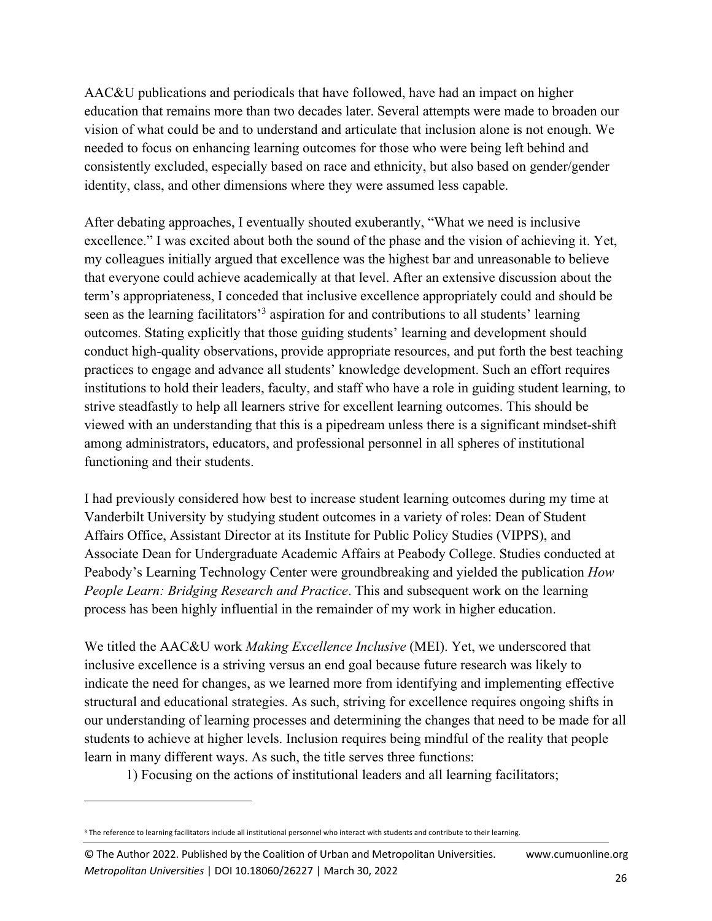AAC&U publications and periodicals that have followed, have had an impact on higher education that remains more than two decades later. Several attempts were made to broaden our vision of what could be and to understand and articulate that inclusion alone is not enough. We needed to focus on enhancing learning outcomes for those who were being left behind and consistently excluded, especially based on race and ethnicity, but also based on gender/gender identity, class, and other dimensions where they were assumed less capable.

After debating approaches, I eventually shouted exuberantly, "What we need is inclusive excellence." I was excited about both the sound of the phase and the vision of achieving it. Yet, my colleagues initially argued that excellence was the highest bar and unreasonable to believe that everyone could achieve academically at that level. After an extensive discussion about the term's appropriateness, I conceded that inclusive excellence appropriately could and should be seen as the learning facilitators<sup>3</sup> aspiration for and contributions to all students' learning outcomes. Stating explicitly that those guiding students' learning and development should conduct high-quality observations, provide appropriate resources, and put forth the best teaching practices to engage and advance all students' knowledge development. Such an effort requires institutions to hold their leaders, faculty, and staff who have a role in guiding student learning, to strive steadfastly to help all learners strive for excellent learning outcomes. This should be viewed with an understanding that this is a pipedream unless there is a significant mindset-shift among administrators, educators, and professional personnel in all spheres of institutional functioning and their students.

I had previously considered how best to increase student learning outcomes during my time at Vanderbilt University by studying student outcomes in a variety of roles: Dean of Student Affairs Office, Assistant Director at its Institute for Public Policy Studies (VIPPS), and Associate Dean for Undergraduate Academic Affairs at Peabody College. Studies conducted at Peabody's Learning Technology Center were groundbreaking and yielded the publication *How People Learn: Bridging Research and Practice*. This and subsequent work on the learning process has been highly influential in the remainder of my work in higher education.

We titled the AAC&U work *Making Excellence Inclusive* (MEI). Yet, we underscored that inclusive excellence is a striving versus an end goal because future research was likely to indicate the need for changes, as we learned more from identifying and implementing effective structural and educational strategies. As such, striving for excellence requires ongoing shifts in our understanding of learning processes and determining the changes that need to be made for all students to achieve at higher levels. Inclusion requires being mindful of the reality that people learn in many different ways. As such, the title serves three functions:

1) Focusing on the actions of institutional leaders and all learning facilitators;

© The Author 2022. Published by the Coalition of Urban and Metropolitan Universities. www.cumuonline.org *Metropolitan Universities* | DOI 10.18060/26227 | March 30, 2022 <sup>26</sup>

<sup>&</sup>lt;sup>3</sup> The reference to learning facilitators include all institutional personnel who interact with students and contribute to their learning.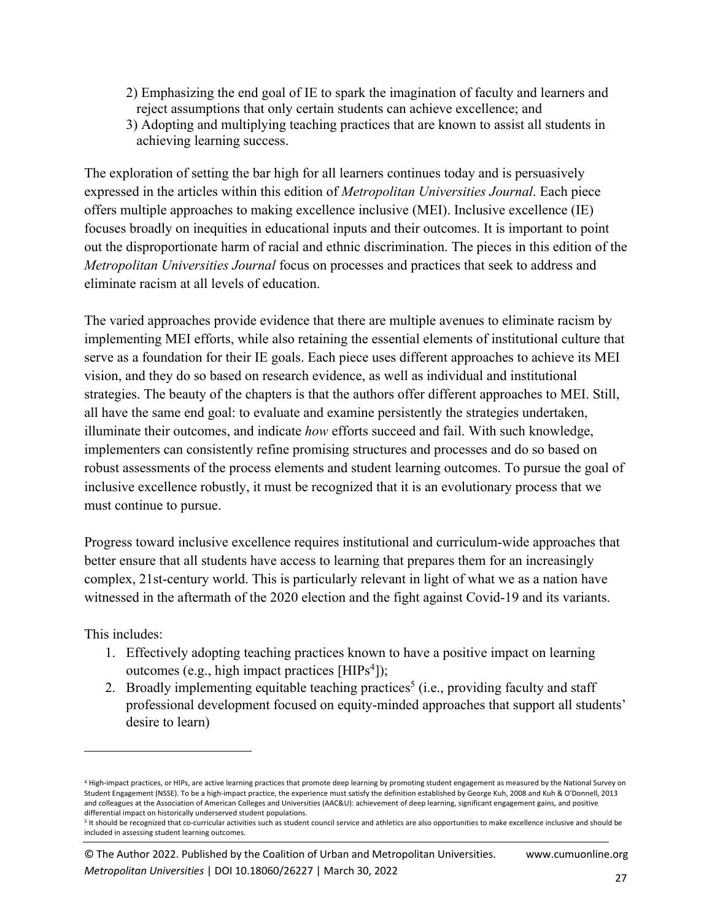- 2) Emphasizing the end goal of IE to spark the imagination of faculty and learners and reject assumptions that only certain students can achieve excellence; and
- 3) Adopting and multiplying teaching practices that are known to assist all students in achieving learning success.

The exploration of setting the bar high for all learners continues today and is persuasively expressed in the articles within this edition of *Metropolitan Universities Journal*. Each piece offers multiple approaches to making excellence inclusive (MEI). Inclusive excellence (IE) focuses broadly on inequities in educational inputs and their outcomes. It is important to point out the disproportionate harm of racial and ethnic discrimination. The pieces in this edition of the *Metropolitan Universities Journal* focus on processes and practices that seek to address and eliminate racism at all levels of education.

The varied approaches provide evidence that there are multiple avenues to eliminate racism by implementing MEI efforts, while also retaining the essential elements of institutional culture that serve as a foundation for their IE goals. Each piece uses different approaches to achieve its MEI vision, and they do so based on research evidence, as well as individual and institutional strategies. The beauty of the chapters is that the authors offer different approaches to MEI. Still, all have the same end goal: to evaluate and examine persistently the strategies undertaken, illuminate their outcomes, and indicate *how* efforts succeed and fail. With such knowledge, implementers can consistently refine promising structures and processes and do so based on robust assessments of the process elements and student learning outcomes. To pursue the goal of inclusive excellence robustly, it must be recognized that it is an evolutionary process that we must continue to pursue.

Progress toward inclusive excellence requires institutional and curriculum-wide approaches that better ensure that all students have access to learning that prepares them for an increasingly complex, 21st-century world. This is particularly relevant in light of what we as a nation have witnessed in the aftermath of the 2020 election and the fight against Covid-19 and its variants.

This includes:

- 1. Effectively adopting teaching practices known to have a positive impact on learning outcomes (e.g., high impact practices [HIPs<sup>4</sup>]);
- 2. Broadly implementing equitable teaching practices<sup>5</sup> (i.e., providing faculty and staff professional development focused on equity-minded approaches that support all students' desire to learn)

<sup>4</sup> High-impact practices, or HIPs, are active learning practices that promote deep learning by promoting student engagement as measured by the National Survey on Student Engagement (NSSE). To be a high-impact practice, the experience must satisfy the definition established by George Kuh, 2008 and Kuh & O'Donnell, 2013 and colleagues at the Association of American Colleges and Universities (AAC&U): achievement of deep learning, significant engagement gains, and positive differential impact on historically underserved student populations.

<sup>&</sup>lt;sup>5</sup> It should be recognized that co-curricular activities such as student council service and athletics are also opportunities to make excellence inclusive and should be included in assessing student learning outcomes.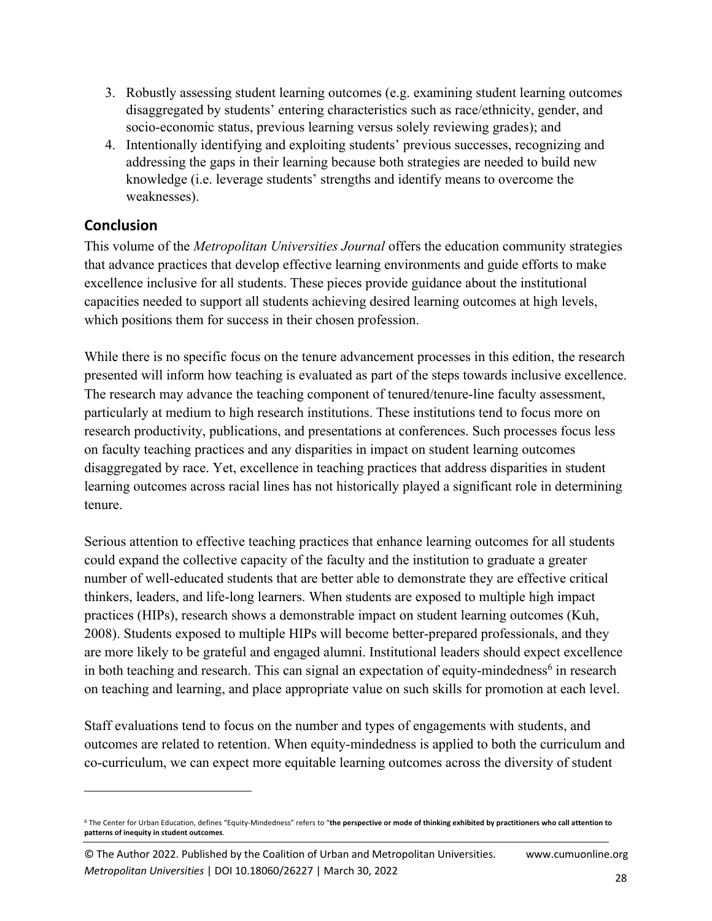- 3. Robustly assessing student learning outcomes (e.g. examining student learning outcomes disaggregated by students' entering characteristics such as race/ethnicity, gender, and socio-economic status, previous learning versus solely reviewing grades); and
- 4. Intentionally identifying and exploiting students' previous successes, recognizing and addressing the gaps in their learning because both strategies are needed to build new knowledge (i.e. leverage students' strengths and identify means to overcome the weaknesses).

## **Conclusion**

This volume of the *Metropolitan Universities Journal* offers the education community strategies that advance practices that develop effective learning environments and guide efforts to make excellence inclusive for all students. These pieces provide guidance about the institutional capacities needed to support all students achieving desired learning outcomes at high levels, which positions them for success in their chosen profession.

While there is no specific focus on the tenure advancement processes in this edition, the research presented will inform how teaching is evaluated as part of the steps towards inclusive excellence. The research may advance the teaching component of tenured/tenure-line faculty assessment, particularly at medium to high research institutions. These institutions tend to focus more on research productivity, publications, and presentations at conferences. Such processes focus less on faculty teaching practices and any disparities in impact on student learning outcomes disaggregated by race. Yet, excellence in teaching practices that address disparities in student learning outcomes across racial lines has not historically played a significant role in determining tenure.

Serious attention to effective teaching practices that enhance learning outcomes for all students could expand the collective capacity of the faculty and the institution to graduate a greater number of well-educated students that are better able to demonstrate they are effective critical thinkers, leaders, and life-long learners. When students are exposed to multiple high impact practices (HIPs), research shows a demonstrable impact on student learning outcomes (Kuh, 2008). Students exposed to multiple HIPs will become better-prepared professionals, and they are more likely to be grateful and engaged alumni. Institutional leaders should expect excellence in both teaching and research. This can signal an expectation of equity-mindedness<sup>6</sup> in research on teaching and learning, and place appropriate value on such skills for promotion at each level.

Staff evaluations tend to focus on the number and types of engagements with students, and outcomes are related to retention. When equity-mindedness is applied to both the curriculum and co-curriculum, we can expect more equitable learning outcomes across the diversity of student

© The Author 2022. Published by the Coalition of Urban and Metropolitan Universities. www.cumuonline.org *Metropolitan Universities* | DOI 10.18060/26227 | March 30, 2022 28

<sup>6</sup> The Center for Urban Education, defines "Equity-Mindedness" refers to "**the perspective or mode of thinking exhibited by practitioners who call attention to patterns of inequity in student outcomes**.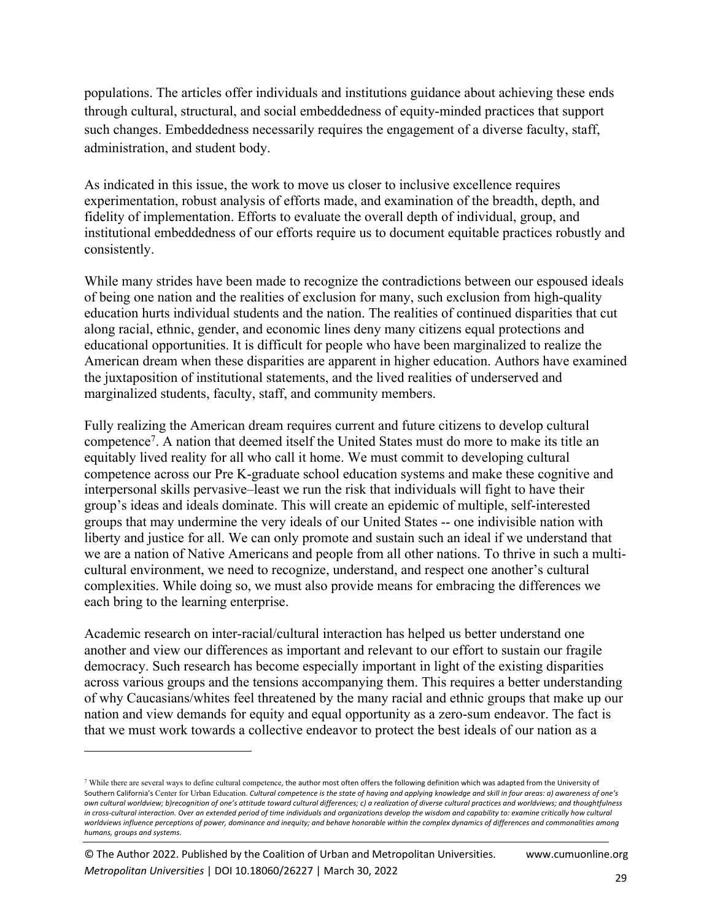populations. The articles offer individuals and institutions guidance about achieving these ends through cultural, structural, and social embeddedness of equity-minded practices that support such changes. Embeddedness necessarily requires the engagement of a diverse faculty, staff, administration, and student body.

As indicated in this issue, the work to move us closer to inclusive excellence requires experimentation, robust analysis of efforts made, and examination of the breadth, depth, and fidelity of implementation. Efforts to evaluate the overall depth of individual, group, and institutional embeddedness of our efforts require us to document equitable practices robustly and consistently.

While many strides have been made to recognize the contradictions between our espoused ideals of being one nation and the realities of exclusion for many, such exclusion from high-quality education hurts individual students and the nation. The realities of continued disparities that cut along racial, ethnic, gender, and economic lines deny many citizens equal protections and educational opportunities. It is difficult for people who have been marginalized to realize the American dream when these disparities are apparent in higher education. Authors have examined the juxtaposition of institutional statements, and the lived realities of underserved and marginalized students, faculty, staff, and community members.

Fully realizing the American dream requires current and future citizens to develop cultural competence7 . A nation that deemed itself the United States must do more to make its title an equitably lived reality for all who call it home. We must commit to developing cultural competence across our Pre K-graduate school education systems and make these cognitive and interpersonal skills pervasive–least we run the risk that individuals will fight to have their group's ideas and ideals dominate. This will create an epidemic of multiple, self-interested groups that may undermine the very ideals of our United States -- one indivisible nation with liberty and justice for all. We can only promote and sustain such an ideal if we understand that we are a nation of Native Americans and people from all other nations. To thrive in such a multicultural environment, we need to recognize, understand, and respect one another's cultural complexities. While doing so, we must also provide means for embracing the differences we each bring to the learning enterprise.

Academic research on inter-racial/cultural interaction has helped us better understand one another and view our differences as important and relevant to our effort to sustain our fragile democracy. Such research has become especially important in light of the existing disparities across various groups and the tensions accompanying them. This requires a better understanding of why Caucasians/whites feel threatened by the many racial and ethnic groups that make up our nation and view demands for equity and equal opportunity as a zero-sum endeavor. The fact is that we must work towards a collective endeavor to protect the best ideals of our nation as a

<sup>&</sup>lt;sup>7</sup> While there are several ways to define cultural competence, the author most often offers the following definition which was adapted from the University of Southern California's Center for Urban Education. *Cultural competence is the state of having and applying knowledge and skill in four areas: a) awareness of one's own cultural worldview; b)recognition of one's attitude toward cultural differences; c) a realization of diverse cultural practices and worldviews; and thoughtfulness*  in cross-cultural interaction. Over an extended period of time individuals and organizations develop the wisdom and capability to: examine critically how cultural *worldviews influence perceptions of power, dominance and inequity; and behave honorable within the complex dynamics of differences and commonalities among humans, groups and systems.*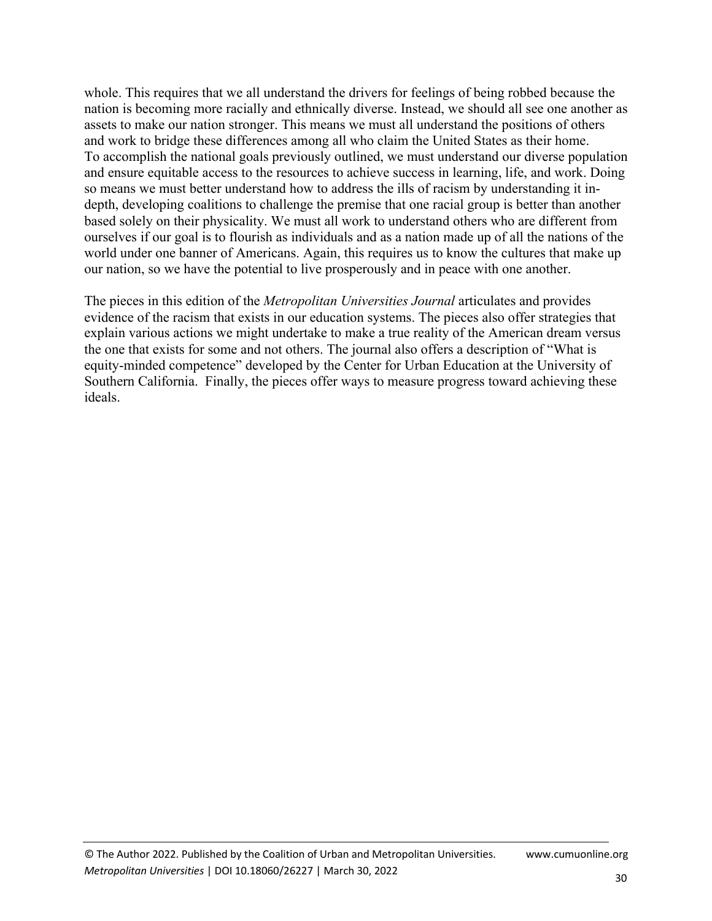whole. This requires that we all understand the drivers for feelings of being robbed because the nation is becoming more racially and ethnically diverse. Instead, we should all see one another as assets to make our nation stronger. This means we must all understand the positions of others and work to bridge these differences among all who claim the United States as their home. To accomplish the national goals previously outlined, we must understand our diverse population and ensure equitable access to the resources to achieve success in learning, life, and work. Doing so means we must better understand how to address the ills of racism by understanding it indepth, developing coalitions to challenge the premise that one racial group is better than another based solely on their physicality. We must all work to understand others who are different from ourselves if our goal is to flourish as individuals and as a nation made up of all the nations of the world under one banner of Americans. Again, this requires us to know the cultures that make up our nation, so we have the potential to live prosperously and in peace with one another.

The pieces in this edition of the *Metropolitan Universities Journal* articulates and provides evidence of the racism that exists in our education systems. The pieces also offer strategies that explain various actions we might undertake to make a true reality of the American dream versus the one that exists for some and not others. The journal also offers a description of "What is equity-minded competence" developed by the Center for Urban Education at the University of Southern California. Finally, the pieces offer ways to measure progress toward achieving these ideals.